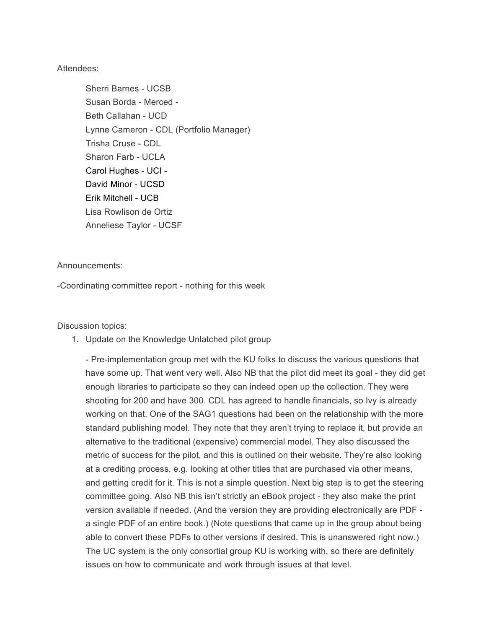## Attendees:

Sherri Barnes - UCSB Susan Borda - Merced - Beth Callahan - UCD Lynne Cameron - CDL (Portfolio Manager) Trisha Cruse - CDL Sharon Farb - UCLA Carol Hughes - UCI - David Minor - UCSD Erik Mitchell - UCB Lisa Rowlison de Ortiz Anneliese Taylor - UCSF

## Announcements:

-Coordinating committee report - nothing for this week

Discussion topics:

1. Update on the Knowledge Unlatched pilot group

- Pre-implementation group met with the KU folks to discuss the various questions that have some up. That went very well. Also NB that the pilot did meet its goal - they did get enough libraries to participate so they can indeed open up the collection. They were shooting for 200 and have 300. CDL has agreed to handle financials, so Ivy is already working on that. One of the SAG1 questions had been on the relationship with the more standard publishing model. They note that they aren't trying to replace it, but provide an alternative to the traditional (expensive) commercial model. They also discussed the metric of success for the pilot, and this is outlined on their website. They're also looking at a crediting process, e.g. looking at other titles that are purchased via other means, and getting credit for it. This is not a simple question. Next big step is to get the steering committee going. Also NB this isn't strictly an eBook project - they also make the print version available if needed. (And the version they are providing electronically are PDF a single PDF of an entire book.) (Note questions that came up in the group about being able to convert these PDFs to other versions if desired. This is unanswered right now.) The UC system is the only consortial group KU is working with, so there are definitely issues on how to communicate and work through issues at that level.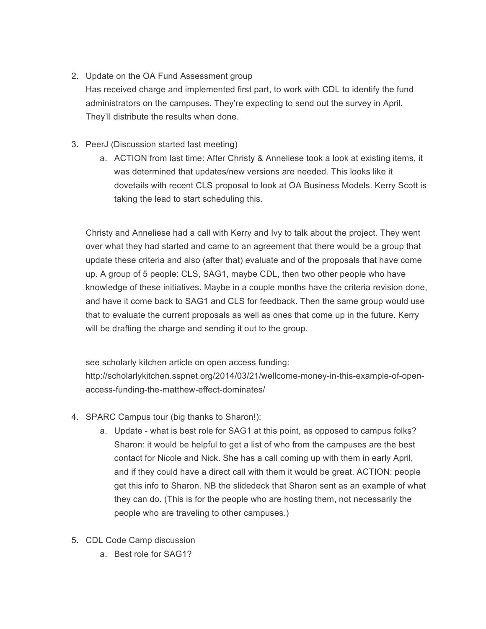## 2. Update on the OA Fund Assessment group

Has received charge and implemented first part, to work with CDL to identify the fund administrators on the campuses. They're expecting to send out the survey in April. They'll distribute the results when done.

- 3. PeerJ (Discussion started last meeting)
	- a. ACTION from last time: After Christy & Anneliese took a look at existing items, it was determined that updates/new versions are needed. This looks like it dovetails with recent CLS proposal to look at OA Business Models. Kerry Scott is taking the lead to start scheduling this.

Christy and Anneliese had a call with Kerry and Ivy to talk about the project. They went over what they had started and came to an agreement that there would be a group that update these criteria and also (after that) evaluate and of the proposals that have come up. A group of 5 people: CLS, SAG1, maybe CDL, then two other people who have knowledge of these initiatives. Maybe in a couple months have the criteria revision done, and have it come back to SAG1 and CLS for feedback. Then the same group would use that to evaluate the current proposals as well as ones that come up in the future. Kerry will be drafting the charge and sending it out to the group.

see scholarly kitchen article on open access funding: http://scholarlykitchen.sspnet.org/2014/03/21/wellcome-money-in-this-example-of-openaccess-funding-the-matthew-effect-dominates/

- 4. SPARC Campus tour (big thanks to Sharon!):
	- a. Update what is best role for SAG1 at this point, as opposed to campus folks? Sharon: it would be helpful to get a list of who from the campuses are the best contact for Nicole and Nick. She has a call coming up with them in early April, and if they could have a direct call with them it would be great. ACTION: people get this info to Sharon. NB the slidedeck that Sharon sent as an example of what they can do. (This is for the people who are hosting them, not necessarily the people who are traveling to other campuses.)
- 5. CDL Code Camp discussion
	- a. Best role for SAG1?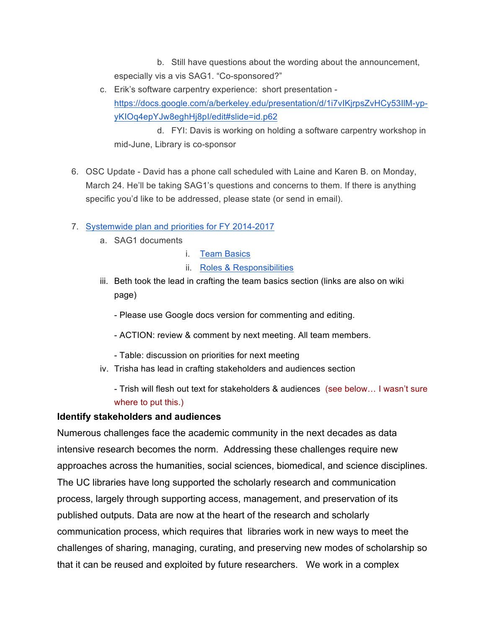b. Still have questions about the wording about the announcement, especially vis a vis SAG1. "Co-sponsored?"

c. Erik's software carpentry experience: short presentation https://docs.google.com/a/berkeley.edu/presentation/d/1i7vIKjrpsZvHCy53IlM-ypyKIOq4epYJw8eghHj8pI/edit#slide=id.p62

d. FYI: Davis is working on holding a software carpentry workshop in mid-June, Library is co-sponsor

- 6. OSC Update David has a phone call scheduled with Laine and Karen B. on Monday, March 24. He'll be taking SAG1's questions and concerns to them. If there is anything specific you'd like to be addressed, please state (or send in email).
- 7. Systemwide plan and priorities for FY 2014-2017
	- a. SAG1 documents
		- i. Team Basics
		- ii. Roles & Responsibilities
	- iii. Beth took the lead in crafting the team basics section (links are also on wiki page)

- Please use Google docs version for commenting and editing.

- ACTION: review & comment by next meeting. All team members.
- Table: discussion on priorities for next meeting
- iv. Trisha has lead in crafting stakeholders and audiences section

- Trish will flesh out text for stakeholders & audiences (see below… I wasn't sure where to put this.)

## **Identify stakeholders and audiences**

Numerous challenges face the academic community in the next decades as data intensive research becomes the norm. Addressing these challenges require new approaches across the humanities, social sciences, biomedical, and science disciplines. The UC libraries have long supported the scholarly research and communication process, largely through supporting access, management, and preservation of its published outputs. Data are now at the heart of the research and scholarly communication process, which requires that libraries work in new ways to meet the challenges of sharing, managing, curating, and preserving new modes of scholarship so that it can be reused and exploited by future researchers. We work in a complex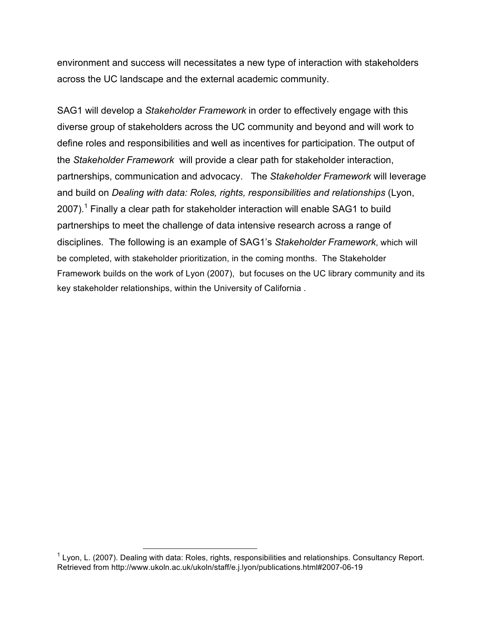environment and success will necessitates a new type of interaction with stakeholders across the UC landscape and the external academic community.

SAG1 will develop a *Stakeholder Framework* in order to effectively engage with this diverse group of stakeholders across the UC community and beyond and will work to define roles and responsibilities and well as incentives for participation. The output of the *Stakeholder Framework* will provide a clear path for stakeholder interaction, partnerships, communication and advocacy. The *Stakeholder Framework* will leverage and build on *Dealing with data: Roles, rights, responsibilities and relationships* (Lyon,  $2007$ ).<sup>1</sup> Finally a clear path for stakeholder interaction will enable SAG1 to build partnerships to meet the challenge of data intensive research across a range of disciplines. The following is an example of SAG1's *Stakeholder Framework*, which will be completed, with stakeholder prioritization, in the coming months. The Stakeholder Framework builds on the work of Lyon (2007), but focuses on the UC library community and its key stakeholder relationships, within the University of California .

 $1$  Lyon, L. (2007). Dealing with data: Roles, rights, responsibilities and relationships. Consultancy Report. Retrieved from http://www.ukoln.ac.uk/ukoln/staff/e.j.lyon/publications.html#2007-06-19